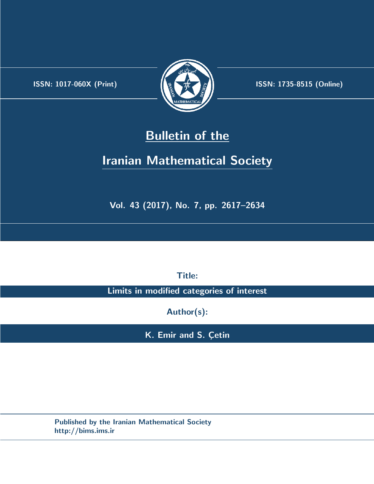.



**ISSN:** 1017-060X (Print)  $\left| \left( \frac{1}{2} \sum \frac{1}{k} \right) \right|$  **ISSN:** 1735-8515 (Online)

# **Bulletin of the**

# **Iranian Mathematical Society**

**Vol. 43 (2017), No. 7, pp. 2617–2634**

**Title:**

**Limits in modified categories of interest**

**Author(s):**

**K. Emir and S. Çetin** 

**Published by the Iranian Mathematical Society http://bims.ims.ir**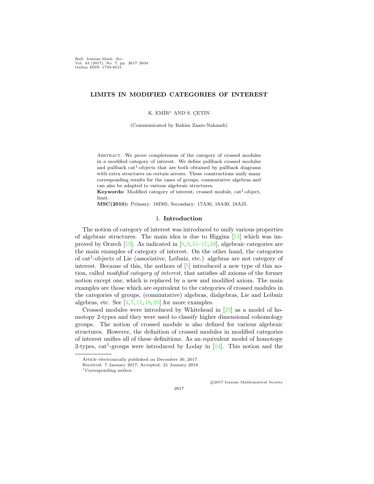Bull. Iranian Math. Soc. Vol. 43 (2017), No. 7, pp. 2617–2634 Online ISSN: 1735-8515

### **LIMITS IN MODIFIED CATEGORIES OF INTEREST**

K. EMİR<sup>\*</sup> AND S. CETIN

(Communicated by Rahim Zaare-Nahandi)

Abstract. We prove completeness of the category of crossed modules in a modified category of interest. We define pullback crossed modules and pullback cat<sup>1</sup>-objects that are both obtained by pullback diagrams with extra structures on certain arrows. These constructions unify many corresponding results for the cases of groups, commutative algebras and can also be adapted to various algebraic structures.

**Keywords:** Modified category of interest, crossed module, cat<sup>1</sup>-object, limit.

**MSC(2010):** Primary: 18D05; Secondary: 17A30, 18A30, 18A35.

#### 1. **Introduction**

The notion of category of interest was introduced to unify various properties of algebraic structures. The main idea is due to Higgins [[13\]](#page-18-0) which was improved by Orzech  $[19]$  $[19]$  $[19]$ . As indicated in  $[8, 9, 15-17, 19]$  $[8, 9, 15-17, 19]$  $[8, 9, 15-17, 19]$  $[8, 9, 15-17, 19]$  $[8, 9, 15-17, 19]$  $[8, 9, 15-17, 19]$  $[8, 9, 15-17, 19]$ , algebraic categories are the main examples of category of interest. On the other hand, the categories of cat<sup>1</sup> -objects of Lie (associative, Leibniz, etc.) algebras are not category of interest. Because of this, the authors of [\[5](#page-17-0)] introduced a new type of this notion, called *modified category of interest,* that satisfies all axioms of the former notion except one, which is replaced by a new and modified axiom. The main examples are those which are equivalent to the categories of crossed modules in the categories of groups, (commutative) algebras, dialgebras, Lie and Leibniz algebras, etc. See  $[4, 7, 11, 18, 20]$  $[4, 7, 11, 18, 20]$  $[4, 7, 11, 18, 20]$  $[4, 7, 11, 18, 20]$  $[4, 7, 11, 18, 20]$  $[4, 7, 11, 18, 20]$  $[4, 7, 11, 18, 20]$  $[4, 7, 11, 18, 20]$  $[4, 7, 11, 18, 20]$  $[4, 7, 11, 18, 20]$  $[4, 7, 11, 18, 20]$  for more examples.

Crossed modules were introduced by Whitehead in [[23](#page-18-9)] as a model of homotopy 2-types and they were used to classify higher dimensional cohomology groups. The notion of crossed module is also defined for various algebraic structures. However, the definition of crossed modules in modified categories of interest unifies all of these definitions. As an equivalent model of homotopy 2-types,  $cat^1$ -groups were introduced by Loday in  $[14]$  $[14]$ . This notion and the

*⃝*c 2017 Iranian Mathematical Society

Article electronically published on December 30, 2017.

Received: 7 January 2017, Accepted: 21 January 2018.

*<sup>∗</sup>*Corresponding author.

<sup>2617</sup>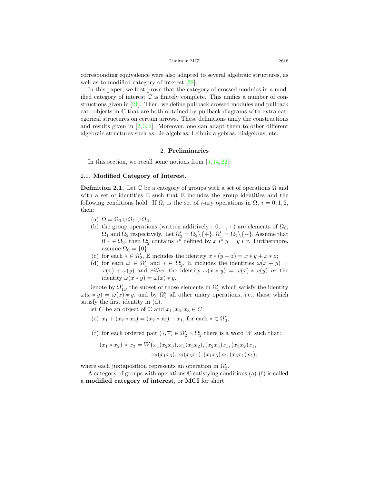corresponding equivalence were also adapted to several algebraic structures, as well as to modified category of interest [\[22](#page-18-11)].

In this paper, we first prove that the category of crossed modules in a modified category of interest  $\mathbb C$  is finitely complete. This unifies a number of constructions given in [\[21](#page-18-12)]. Then, we define pullback crossed modules and pullback  $cat<sup>1</sup>$ -objects in  $\mathbb C$  that are both obtained by pullback diagrams with extra categorical structures on certain arrows. These definitions unify the constructions and results given in  $[2,3,6]$  $[2,3,6]$  $[2,3,6]$  $[2,3,6]$  $[2,3,6]$ . Moreover, one can adapt them to other different algebraic structures such as Lie algebras, Leibniz algebras, dialgebras, etc.

#### 2. **Preliminaries**

In this section, we recall some notions from  $[5, 14, 22]$  $[5, 14, 22]$  $[5, 14, 22]$  $[5, 14, 22]$  $[5, 14, 22]$  $[5, 14, 22]$ .

## 2.1. **Modified Category of Interest.**

**Definition 2.1.** Let  $\mathbb C$  be a category of groups with a set of operations  $\Omega$  and with a set of identities  $E$  such that  $E$  includes the group identities and the following conditions hold. If  $\Omega_i$  is the set of *i*-ary operations in  $\Omega$ ,  $i = 0, 1, 2$ , then:

- (a)  $\Omega = \Omega_0 \cup \Omega_1 \cup \Omega_2;$
- (b) the group operations (written additively :  $0, -, +$ ) are elements of  $\Omega_0$ ,  $\Omega_1$  and  $\Omega_2$  respectively. Let  $\Omega'_2 = \Omega_2 \setminus \{ + \}, \Omega'_1 = \Omega_1 \setminus \{ - \}$ . Assume that if  $* \in \Omega_2$ , then  $\Omega'_2$  contains  $*^\circ$  defined by  $x *^\circ y = y * x$ . Furthermore, assume  $\Omega_0 = \{0\};$
- (c) for each  $* \in \Omega'_2$ , E includes the identity  $x * (y + z) = x * y + x * z$ ;
- (d) for each  $\omega \in \Omega'_1$  and  $* \in \Omega'_2$ , E includes the identities  $\omega(x+y)$  $\omega(x) + \omega(y)$  and *either* the identity  $\omega(x * y) = \omega(x) * \omega(y)$  *or* the identity  $\omega(x * y) = \omega(x) * y$ .

Denote by  $\Omega'_{1S}$  the subset of those elements in  $\Omega'_{1}$  which satisfy the identity  $\omega(x * y) = \omega(x) * y$ , and by  $\Omega''_1$  all other unary operations, i.e., those which satisfy the first identity in (d).

Let *C* be an object of  $\mathbb C$  and  $x_1, x_2, x_3 \in C$ :

- (e)  $x_1 + (x_2 * x_3) = (x_2 * x_3) + x_1$ , for each  $* \in \Omega'_2$ ,
- (f) for each ordered pair  $(*, \overline{*}) \in \Omega_2' \times \Omega_2'$  there is a word *W* such that:

$$
(x_1 * x_2) * x_3 = W(x_1(x_2x_3), x_1(x_3x_2), (x_2x_3)x_1, (x_3x_2)x_1,
$$
  

$$
x_2(x_1x_3), x_2(x_3x_1), (x_1x_3)x_2, (x_3x_1)x_2),
$$

where each juxtaposition represents an operation in  $\Omega'_{2}$ .

A category of groups with operations  $\mathbb C$  satisfying conditions (a)-(f) is called a **modified category of interest**, or **MCI** for short.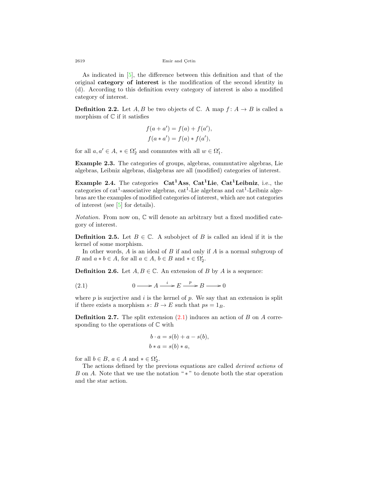2619 Emir and Çetin

As indicated in [\[5](#page-17-0)], the difference between this definition and that of the original **category of interest** is the modification of the second identity in (d). According to this definition every category of interest is also a modified category of interest.

**Definition 2.2.** Let *A, B* be two objects of  $\mathbb{C}$ . A map  $f: A \rightarrow B$  is called a morphism of  $\mathbb C$  if it satisfies

$$
f(a + a') = f(a) + f(a'),
$$
  

$$
f(a * a') = f(a) * f(a'),
$$

for all  $a, a' \in A$ ,  $* \in \Omega_2'$  and commutes with all  $w \in \Omega_1'$ .

<span id="page-3-1"></span>**Example 2.3.** The categories of groups, algebras, commutative algebras, Lie algebras, Leibniz algebras, dialgebras are all (modified) categories of interest.

**Example 2.4.** The categories **Cat<sup>1</sup>Ass**, **Cat<sup>1</sup>Lie**, **Cat<sup>1</sup>Leibniz**, i.e., the categories of  $cat^1$ -associative algebras,  $cat^1$ -Lie algebras and  $cat^1$ -Leibniz algebras are the examples of modified categories of interest, which are not categories of interest (see  $[5]$  $[5]$  for details).

*Notation.* From now on,  $\mathbb{C}$  will denote an arbitrary but a fixed modified category of interest.

**Definition 2.5.** Let  $B \in \mathbb{C}$ . A subobject of *B* is called an ideal if it is the kernel of some morphism.

In other words, *A* is an ideal of *B* if and only if *A* is a normal subgroup of *B* and  $a * b \in A$ , for all  $a \in A$ ,  $b \in B$  and  $* \in \Omega'_2$ .

**Definition 2.6.** Let  $A, B \in \mathbb{C}$ . An extension of *B* by *A* is a sequence:

<span id="page-3-0"></span>(2.1) 
$$
0 \longrightarrow A \xrightarrow{i} E \xrightarrow{p} B \longrightarrow 0
$$

where *p* is surjective and *i* is the kernel of *p*. We say that an extension is split if there exists a morphism  $s: B \to E$  such that  $ps = 1_B$ .

**Definition 2.7.** The split extension ([2.1](#page-3-0)) induces an action of *B* on *A* corresponding to the operations of  $\mathbb C$  with

$$
b \cdot a = s(b) + a - s(b),
$$
  

$$
b * a = s(b) * a,
$$

for all  $b \in B$ ,  $a \in A$  and  $* \in \Omega'_2$ .

The actions defined by the previous equations are called *derived actions* of *B* on *A*. Note that we use the notation "∗" to denote both the star operation and the star action.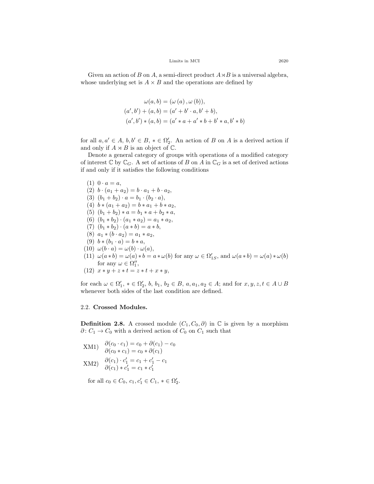Given an action of *B* on *A*, a semi-direct product  $A \rtimes B$  is a universal algebra, whose underlying set is  $A \times B$  and the operations are defined by

$$
\omega(a, b) = (\omega(a), \omega(b)),
$$
  
\n
$$
(a', b') + (a, b) = (a' + b' \cdot a, b' + b),
$$
  
\n
$$
(a', b') * (a, b) = (a' * a + a' * b + b' * a, b' * b)
$$

for all  $a, a' \in A, b, b' \in B, * \in \Omega'_2$ . An action of *B* on *A* is a derived action if and only if  $A \rtimes B$  is an object of  $\mathbb{C}$ .

Denote a general category of groups with operations of a modified category of interest  $\mathbb{C}$  by  $\mathbb{C}_G$ . A set of actions of *B* on *A* in  $\mathbb{C}_G$  is a set of derived actions if and only if it satisfies the following conditions

 $(1) \ 0 \cdot a = a$ ,  $(2)$   $b \cdot (a_1 + a_2) = b \cdot a_1 + b \cdot a_2$ (3)  $(b_1 + b_2) \cdot a = b_1 \cdot (b_2 \cdot a),$  $(4)$   $b * (a_1 + a_2) = b * a_1 + b * a_2,$ (5)  $(b_1 + b_2) * a = b_1 * a + b_2 * a$ , (6)  $(b_1 * b_2) \cdot (a_1 * a_2) = a_1 * a_2,$  $(7)$   $(b_1 * b_2) \cdot (a * b) = a * b$ ,  $(8)$   $a_1 * (b \cdot a_2) = a_1 * a_2,$ (9)  $b * (b_1 \cdot a) = b * a$ ,  $(10) \omega(b \cdot a) = \omega(b) \cdot \omega(a),$ (11)  $\omega(a * b) = \omega(a) * b = a * \omega(b)$  for any  $\omega \in \Omega'_{1S}$ , and  $\omega(a * b) = \omega(a) * \omega(b)$ for any  $\omega \in \Omega''_1$ ,  $(12)$   $x * y + z * t = z * t + x * y$ ,

 $\alpha$  for each  $\omega \in \Omega'_1$ ,  $* \in \Omega'_2$ ,  $b, b_1, b_2 \in B$ ,  $a, a_1, a_2 \in A$ ; and for  $x, y, z, t \in A \cup B$ whenever both sides of the last condition are defined.

#### 2.2. **Crossed Modules.**

**Definition 2.8.** A crossed module  $(C_1, C_0, \partial)$  in  $\mathbb C$  is given by a morphism *∂* :  $C_1$  →  $C_0$  with a derived action of  $C_0$  on  $C_1$  such that

- $XM1$ )  $\partial(c_0 \cdot c_1) = c_0 + \partial(c_1) c_0$  $\partial(c_0 * c_1) = c_0 * \partial(c_1)$
- $(XM2)$   $\frac{\partial(c_1) \cdot c'_1}{\partial(c_1) \cdot c'_1} = c_1 + c'_1 c_1$  $\partial(c_1) * c'_1 = c_1 * c'_1$

for all  $c_0 \in C_0$ ,  $c_1, c'_1 \in C_1$ ,  $* \in \Omega'_2$ .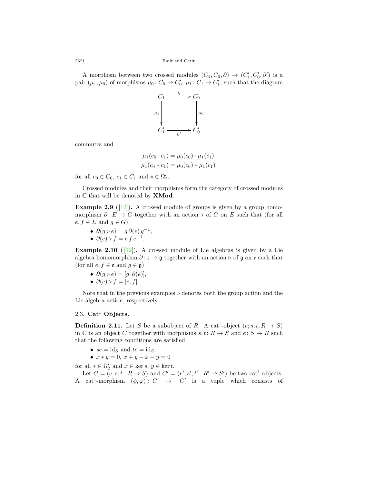2621 Emir and Çetin

A morphism between two crossed modules  $(C_1, C_0, \partial) \rightarrow (C'_1, C'_0, \partial')$  is a pair  $(\mu_1, \mu_0)$  of morphisms  $\mu_0: C_0 \to C'_0$ ,  $\mu_1: C_1 \to C'_1$ , such that the diagram



commutes and

$$
\mu_1(c_0 \cdot c_1) = \mu_0(c_0) \cdot \mu_1(c_1), \n\mu_1(c_0 * c_1) = \mu_0(c_0) * \mu_1(c_1)
$$

for all  $c_0 \in C_0$ ,  $c_1 \in C_1$  and  $* \in \Omega'_2$ .

Crossed modules and their morphisms form the category of crossed modules in C that will be denoted by **XMod**.

**Example 2.9** ( $\boxed{12}$ ). A crossed module of groups is given by a group homomorphism  $\partial: E \to G$  together with an action  $\triangleright$  of  $G$  on  $E$  such that (for all  $e, f \in E$  and  $g \in G$ )

- $\partial(g \triangleright e) = g \partial(e) g^{-1}$ ,
- $\partial(e) \triangleright f = e f e^{-1}$ .

**Example 2.10** ( $[12]$  $[12]$ ). A crossed module of Lie algebras is given by a Lie algebra homomorphism *∂* : e *→* g together with an action *▷* of g on e such that (for all  $e, f \in \mathfrak{e}$  and  $g \in \mathfrak{g}$ )

- $\partial(g \triangleright e) = [g, \partial(e)],$
- $\partial(e) \triangleright f = [e, f].$

Note that in the previous examples *▷* denotes both the group action and the Lie algebra action, respectively.

# 2.3. **Cat**<sup>1</sup> **Objects.**

**Definition 2.11.** Let *S* be a subobject of *R*. A cat<sup>1</sup>-object  $(e; s, t, R \rightarrow S)$ in  $\mathbb C$  is an object  $C$  together with morphisms  $s, t: R \to S$  and  $e: S \to R$  such that the following conditions are satisfied

- $se = id_S$  and  $te = id_S$ ,
- $\bullet$   $x * y = 0, x + y x y = 0$

for all  $* \in \Omega'_2$  and  $x \in \ker s, y \in \ker t$ .

Let  $C = (e; s, t : R \to S)$  and  $C' = (e'; s', t' : R' \to S')$  be two cat<sup>1</sup>-objects. A cat<sup>1</sup>-morphism  $(\phi, \varphi): C \to C'$  is a tuple which consists of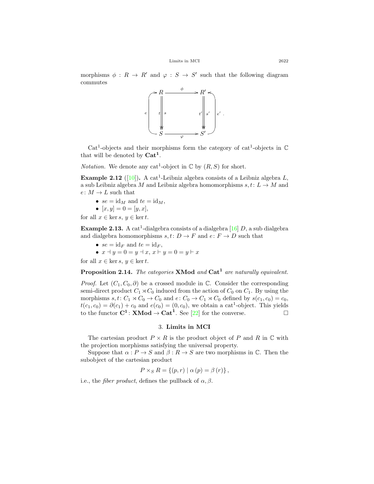morphisms  $\phi : R \to R'$  and  $\varphi : S \to S'$  such that the following diagram commutes



Cat<sup>1</sup>-objects and their morphisms form the category of cat<sup>1</sup>-objects in  $\mathbb C$ that will be denoted by **Cat<sup>1</sup>** .

*Notation*. We denote any cat<sup>1</sup>-object in  $\mathbb C$  by  $(R, S)$  for short.

**Example 2.12** ([[10](#page-18-14)]). A cat<sup>1</sup>-Leibniz algebra consists of a Leibniz algebra  $L$ , a sub Leibniz algebra *M* and Leibniz algebra homomorphisms  $s, t: L \rightarrow M$  and  $e: M \to L$  such that

- $se = id_M$  and  $te = id_M$ ,
- $[x, y] = 0 = [y, x],$

for all  $x \in \ker s, y \in \ker t$ .

**Example 2.13.** A cat<sup>1</sup>-dialgebra consists of a dialgebra  $[16]$  $[16]$  *D*, a sub dialgebra and dialgebra homomorphisms  $s, t: D \to F$  and  $e: F \to D$  such that

•  $se = id_F$  and  $te = id_F$ ,

• 
$$
x \exists y = 0 = y \exists x, x \vdash y = 0 = y \vdash x
$$

for all  $x \in \ker s, y \in \ker t$ .

**Proposition 2.14.** *The categories* **XMod** *and* **Cat<sup>1</sup>** *are naturally equivalent.*

*Proof.* Let  $(C_1, C_0, \partial)$  be a crossed module in  $\mathbb{C}$ . Consider the corresponding semi-direct product  $C_1 \rtimes C_0$  induced from the action of  $C_0$  on  $C_1$ . By using the morphisms  $s, t: C_1 \rtimes C_0 \to C_0$  and  $e: C_0 \to C_1 \rtimes C_0$  defined by  $s(c_1, c_0) = c_0$ ,  $t(c_1, c_0) = \partial(c_1) + c_0$  and  $e(c_0) = (0, c_0)$ , we obtain a cat<sup>1</sup>-object. This yields to the functor  $C^1$ : **XMod**  $\rightarrow$   $Cat^1$ . See [[22\]](#page-18-11) for the converse.

### 3. **Limits in MCI**

The cartesian product  $P \times R$  is the product object of P and R in  $\mathbb C$  with the projection morphisms satisfying the universal property.

Suppose that  $\alpha: P \to S$  and  $\beta: R \to S$  are two morphisms in  $\mathbb{C}$ . Then the subobject of the cartesian product

$$
P \times_{S} R = \{ (p, r) \mid \alpha (p) = \beta (r) \},
$$

i.e., the *fiber product*, defines the pullback of  $\alpha$ ,  $\beta$ .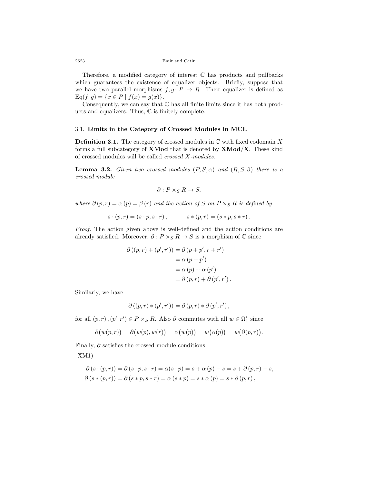2623 Emir and Çetin

Therefore, a modified category of interest  $\mathbb C$  has products and pullbacks which guarantees the existence of equalizer objects. Briefly, suppose that we have two parallel morphisms  $f, g \colon P \to R$ . Their equalizer is defined as  $Eq(f, g) = \{x \in P \mid f(x) = g(x)\}.$ 

Consequently, we can say that  $\mathbb C$  has all finite limits since it has both products and equalizers. Thus, C is finitely complete.

#### 3.1. **Limits in the Category of Crossed Modules in MCI.**

**Definition 3.1.** The category of crossed modules in C with fixed codomain *X* forms a full subcategory of **XMod** that is denoted by **XMod***/***X**. These kind of crossed modules will be called *crossed X-modules*.

<span id="page-7-0"></span>**Lemma 3.2.** *Given two crossed modules*  $(P, S, \alpha)$  *and*  $(R, S, \beta)$  *there is a crossed module*

$$
\partial: P \times_S R \to S,
$$

*where*  $\partial (p, r) = \alpha (p) = \beta (r)$  *and the action of S on*  $P \times_S R$  *is defined by* 

$$
s \cdot (p,r) = (s \cdot p, s \cdot r), \qquad s * (p,r) = (s * p, s * r).
$$

*Proof.* The action given above is well-defined and the action conditions are already satisfied. Moreover,  $\partial$  :  $P \times_S R \to S$  is a morphism of  $\mathbb C$  since

$$
\partial ((p,r) + (p',r')) = \partial (p + p', r + r')
$$
  
=  $\alpha (p + p')$   
=  $\alpha (p) + \alpha (p')$   
=  $\partial (p,r) + \partial (p',r').$ 

Similarly, we have

$$
\partial ((p,r)*(p',r')) = \partial (p,r)*\partial (p',r'),
$$

for all  $(p, r)$ ,  $(p', r') \in P \times_S R$ . Also  $\partial$  commutes with all  $w \in \Omega'_1$  since

$$
\partial \big( w(p,r) \big) = \partial \big( w(p),w(r) \big) = \alpha \big( w(p) \big) = w \big( \alpha(p) \big) = w \big( \partial (p,r) \big).
$$

Finally, *∂* satisfies the crossed module conditions

XM1)

$$
\partial(s \cdot (p,r)) = \partial(s \cdot p, s \cdot r) = \alpha(s \cdot p) = s + \alpha(p) - s = s + \partial(p,r) - s,
$$
  

$$
\partial(s * (p,r)) = \partial(s * p, s * r) = \alpha(s * p) = s * \alpha(p) = s * \partial(p,r),
$$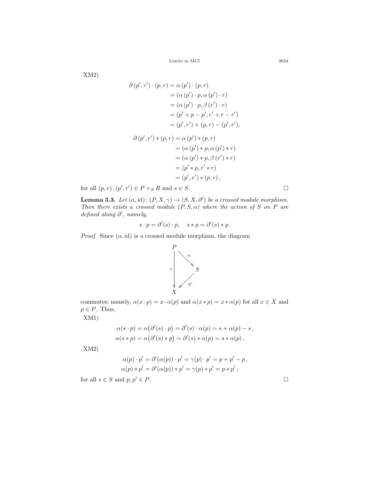$\frac{1}{2624}$  Limits in MCI

XM2)

$$
\partial (p', r') \cdot (p, r) = \alpha (p') \cdot (p, r)
$$
  
\n
$$
= (\alpha (p') \cdot p, \alpha (p') \cdot r)
$$
  
\n
$$
= (\alpha (p') \cdot p, \beta (r') \cdot r)
$$
  
\n
$$
= (p' + p - p', r' + r - r')
$$
  
\n
$$
= (p', r') + (p, r) - (p', r'),
$$
  
\n
$$
\partial (p', r') * (p, r) = \alpha (p') * (p, r)
$$
  
\n
$$
= (\alpha (p') * p, \alpha (p') * r)
$$
  
\n
$$
= (\alpha (p') * p, \beta (r') * r)
$$
  
\n
$$
= (p' * p, r' * r)
$$
  
\n
$$
= (p', r') * (p, r),
$$

for all  $(p, r)$ ,  $(p', r') \in P \times_S R$  and  $s \in S$ .

<span id="page-8-0"></span>**Lemma 3.3.** *Let*  $(\alpha, id)$ :  $(P, X, \gamma) \rightarrow (S, X, \partial')$  *be a crossed module morphism. Then there exists a crossed module*  $(P, S, \alpha)$  *where the action of S on P are defined along ∂ ′ , namely,*

$$
s \cdot p = \partial'(s) \cdot p, \quad s * p = \partial'(s) * p.
$$

*α*  $\begin{matrix} \alpha \\ \beta \end{matrix}$ *γ S*

*Proof.* Since  $(\alpha, id)$  is a crossed module morphism, the diagram

*P*

ľ.

*X*



$$
\alpha(s \cdot p) = \alpha(\partial'(s) \cdot p) = \partial'(s) \cdot \alpha(p) = s + \alpha(p) - s,
$$
  
 
$$
\alpha(s * p) = \alpha(\partial'(s) * p) = \partial'(s) * \alpha(p) = s * \alpha(p),
$$

XM2)

XM1)

$$
\alpha(p) \cdot p' = \partial'(\alpha(p)) \cdot p' = \gamma(p) \cdot p' = p + p' - p,
$$
  
 
$$
\alpha(p) * p' = \partial'(\alpha(p)) * p' = \gamma(p) * p' = p * p',
$$

for all  $s \in S$  and  $p, p' \in P$ .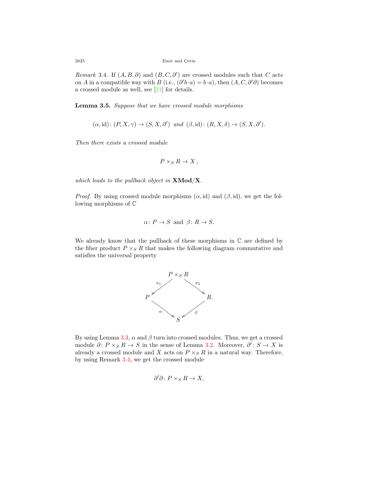<span id="page-9-0"></span>*Remark* 3.4. If  $(A, B, \partial)$  and  $(B, C, \partial')$  are crossed modules such that *C* acts on *A* in a compatible way with *B* (i.e.,  $(\partial' b \cdot a) = b \cdot a$ ), then  $(A, C, \partial' \partial)$  becomes a crossed module as well, see [[21\]](#page-18-12) for details.

**Lemma 3.5.** *Suppose that we have crossed module morphisms*

$$
(\alpha, id)
$$
:  $(P, X, \gamma) \rightarrow (S, X, \partial')$  and  $(\beta, id)$ :  $(R, X, \delta) \rightarrow (S, X, \partial')$ .

*Then there exists a crossed module*

$$
P \times_S R \to X \,,
$$

*which leads to the pullback object in* **XMod***/***X***.*

*Proof.* By using crossed module morphisms  $(\alpha, id)$  and  $(\beta, id)$ , we get the following morphisms of C

$$
\alpha: P \to S
$$
 and  $\beta: R \to S$ .

We already know that the pullback of these morphisms in  $\mathbb C$  are defined by the fiber product  $P \times_S R$  that makes the following diagram commutative and satisfies the universal property



By using Lemma [3.3](#page-8-0),  $\alpha$  and  $\beta$  turn into crossed modules. Thus, we get a crossed module  $\partial: P \times_S R \to S$  in the sense of Lemma [3.2.](#page-7-0) Moreover,  $\partial': S \to X$  is already a crossed module and *X* acts on  $P \times_S R$  in a natural way. Therefore, by using Remark [3.4](#page-9-0), we get the crossed module

$$
\partial'\partial\colon P\times_S R\to X,
$$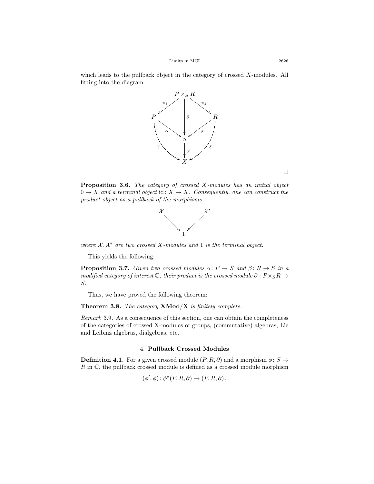which leads to the pullback object in the category of crossed *X*-modules. All fitting into the diagram



**Proposition 3.6.** *The category of crossed X-modules has an initial object*  $0 \rightarrow X$  *and a terminal object* id:  $X \rightarrow X$ *. Consequently, one can construct the product object as a pullback of the morphisms*



*where*  $X, X'$  *are two crossed*  $X$ *-modules and* 1 *is the terminal object.* 

This yields the following:

**Proposition 3.7.** *Given two crossed modules*  $\alpha: P \to S$  *and*  $\beta: R \to S$  *in a modified category of interest*  $\mathbb{C}$ *, their product is the crossed module*  $\partial$  :  $P \times_S R \rightarrow$ *S.*

Thus, we have proved the following theorem:

**Theorem 3.8.** *The category* **XMod***/***X** *is finitely complete.*

*Remark* 3.9*.* As a consequence of this section, one can obtain the completeness of the categories of crossed X-modules of groups, (commutative) algebras, Lie and Leibniz algebras, dialgebras, etc.

#### 4. **Pullback Crossed Modules**

<span id="page-10-0"></span>**Definition 4.1.** For a given crossed module  $(P, R, \partial)$  and a morphism  $\phi: S \rightarrow$ *R* in  $\mathbb{C}$ , the pullback crossed module is defined as a crossed module morphism

$$
(\phi', \phi) \colon \phi^*(P, R, \partial) \to (P, R, \partial),
$$

□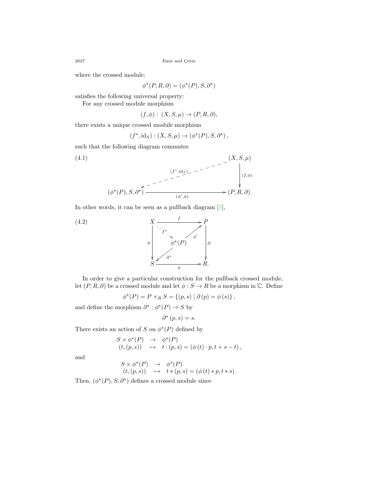where the crossed module:

$$
\phi^*(P, R, \partial) = (\phi^*(P), S, \partial^*)
$$

satisfies the following universal property:

For any crossed module morphism

$$
(f, \phi) : (X, S, \mu) \to (P, R, \partial),
$$

there exists a unique crossed module morphism

$$
(f^{\star},\mathrm{id}_S) : (X,S,\mu) \to (\phi^{\star}(P),S,\partial^{\star}),
$$

such that the following diagram commutes

<span id="page-11-0"></span>(4.1)  
\n
$$
(\phi^*(P), S, \partial^*)
$$
\n
$$
(\phi^*(P), S, \partial^*)
$$
\n
$$
\xrightarrow{\left(\begin{array}{c}\n(f^*, \mathrm{id}_S)_{\checkmark} \\
\downarrow \\
(\phi', \phi)\n\end{array}\right)} \qquad (X, S, \mu)
$$
\n
$$
\xrightarrow{\left(\begin{array}{c}\n(f, \phi) \\
\downarrow \\
(\phi', \phi)\n\end{array}\right)} \qquad (P, R, \partial).
$$

In other words, it can be seen as a pullback diagram [\[1](#page-17-6)],

<span id="page-11-1"></span>

In order to give a particular construction for the pullback crossed module, let  $(P, R, \partial)$  be a crossed module and let  $\phi : S \to R$  be a morphism in  $\mathbb{C}$ . Define

$$
\phi^*(P) = P \times_R S = \{ (p, s) | \partial (p) = \phi (s) \},
$$

and define the morphism  $\partial^* : \phi^*(P) \to S$  by

$$
\partial^{\star}(p,s) = s.
$$

There exists an action of *S* on  $\phi^*(P)$  defined by

$$
S \times \phi^*(P) \rightarrow \phi^*(P)
$$
  
(t, (p, s))  $\mapsto$  t · (p, s) = ( $\phi$ (t) · p, t + s - t),

and

$$
S \times \phi^*(P) \rightarrow \phi^*(P)
$$
  
(t, (p, s))  $\mapsto$  t \* (p, s) = (\phi(t) \* p, t \* s).

Then,  $(\phi^*(P), S, \partial^*)$  defines a crossed module since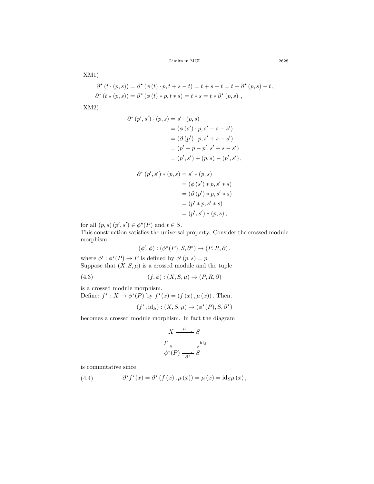$10000 \text{ Limits} \quad \text{and} \quad 2628$ 

XM1)

$$
\partial^{\star}(t \cdot (p, s)) = \partial^{\star}(\phi(t) \cdot p, t + s - t) = t + s - t = t + \partial^{\star}(p, s) - t,
$$
  

$$
\partial^{\star}(t \star (p, s)) = \partial^{\star}(\phi(t) * p, t * s) = t * s = t * \partial^{\star}(p, s),
$$

XM2)

$$
\partial^{\star} (p', s') \cdot (p, s) = s' \cdot (p, s)
$$
  
=  $(\phi (s') \cdot p, s' + s - s')$   
=  $(\partial (p') \cdot p, s' + s - s')$   
=  $(p' + p - p', s' + s - s')$   
=  $(p', s') + (p, s) - (p', s')$ ,  
 $\partial^{\star} (p', s') * (p, s) = s' * (p, s)$   
=  $(\phi (s') * p, s' * s)$ 

$$
= (\phi (s') * p, s' * s)
$$
  
= (\partial (p') \* p, s' \* s)  
= (p' \* p, s' \* s)  
= (p', s') \* (p, s),

for all  $(p, s)$   $(p', s') \in \phi^*(P)$  and  $t \in S$ .

This construction satisfies the universal property. Consider the crossed module morphism

$$
(\phi', \phi) : (\phi^*(P), S, \partial^*) \to (P, R, \partial),
$$

where  $\phi' : \phi^*(P) \to P$  is defined by  $\phi'(p, s) = p$ . Suppose that  $(X, S, \mu)$  is a crossed module and the tuple

<span id="page-12-1"></span>(4.3)  $(f, \phi) : (X, S, \mu) \to (P, R, \partial)$ 

is a crossed module morphism.

Define:  $f^* : X \to \phi^*(P)$  by  $f^*(x) = (f(x), \mu(x))$ . Then,

$$
(f^{\star}, \mathrm{id}_S) : (X, S, \mu) \to (\phi^{\star}(P), S, \partial^{\star})
$$

becomes a crossed module morphism. In fact the diagram

$$
X \xrightarrow{\mu} S
$$
  

$$
f^* \downarrow \qquad \qquad \downarrow id_S
$$
  

$$
\phi^*(P) \xrightarrow{\partial^*} S
$$

is commutative since

<span id="page-12-0"></span>(4.4) 
$$
\partial^{\star} f^{\star}(x) = \partial^{\star} (f(x), \mu(x)) = \mu(x) = id_{S}\mu(x),
$$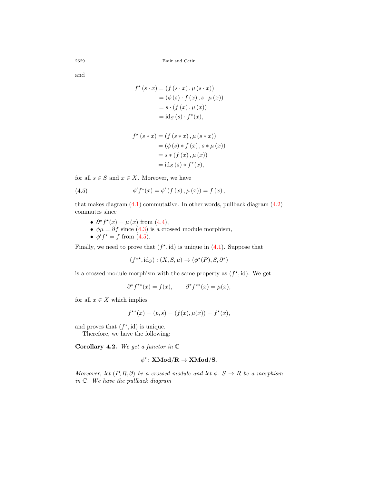and

$$
f^{\star}(s \cdot x) = (f(s \cdot x), \mu(s \cdot x))
$$
  
= (\phi(s) \cdot f(x), s \cdot \mu(x))  
= s \cdot (f(x), \mu(x))  
= id\_{S}(s) \cdot f^{\star}(x),

$$
f^*(s * x) = (f (s * x), \mu (s * x))
$$
  
= (\phi (s) \* f (x), s \* \mu (x))  
= s \* (f (x), \mu (x))  
= id<sub>S</sub> (s) \* f^\*(x),

for all  $s \in S$  and  $x \in X$ . Moreover, we have

<span id="page-13-0"></span>(4.5) 
$$
\phi' f^*(x) = \phi' (f (x), \mu (x)) = f (x),
$$

that makes diagram  $(4.1)$  commutative. In other words, pullback diagram  $(4.2)$  $(4.2)$  $(4.2)$ commutes since

- $\partial^* f^*(x) = \mu(x)$  from [\(4.4\)](#page-12-0),
- $\phi\mu = \partial f$  since [\(4.3](#page-12-1)) is a crossed module morphism,
- $\phi' f^* = f \text{ from } (4.5).$  $\phi' f^* = f \text{ from } (4.5).$  $\phi' f^* = f \text{ from } (4.5).$

Finally, we need to prove that  $(f^*, id)$  is unique in  $(4.1)$  $(4.1)$  $(4.1)$ . Suppose that

 $(f^{**}, id_S) : (X, S, \mu) \to (\phi^*(P), S, \partial^*)$ 

is a crossed module morphism with the same property as  $(f^*, id)$ . We get

 $\partial^{\star} f^{\star\star}(x) = f(x), \qquad \partial^{\star} f^{\star\star}(x) = \mu(x),$ 

for all  $x \in X$  which implies

$$
f^{\star\star}(x) = (p, s) = (f(x), \mu(x)) = f^{\star}(x),
$$

and proves that  $(f^*, id)$  is unique.

Therefore, we have the following:

**Corollary 4.2.** *We get a functor in* C

$$
\phi^\star \colon \mathbf{XMod}/\mathbf{R} \to \mathbf{XMod}/\mathbf{S}.
$$

*Moreover, let*  $(P, R, \partial)$  *be a crossed module and let*  $\phi: S \to R$  *be a morphism in* C*. We have the pullback diagram*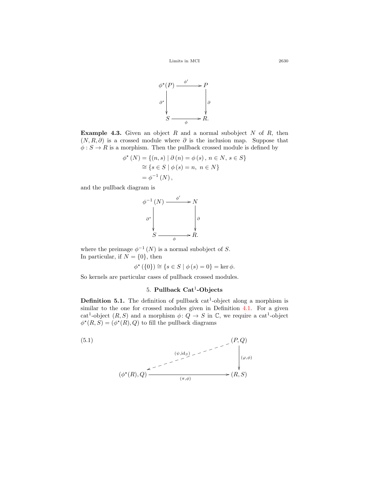

**Example 4.3.** Given an object *R* and a normal subobject *N* of *R*, then  $(N, R, \partial)$  is a crossed module where  $\partial$  is the inclusion map. Suppose that  $\phi: S \to R$  is a morphism. Then the pullback crossed module is defined by

$$
\phi^*(N) = \{(n, s) | \partial(n) = \phi(s), n \in N, s \in S\}
$$
  
\n
$$
\cong \{s \in S | \phi(s) = n, n \in N\}
$$
  
\n
$$
= \phi^{-1}(N),
$$

and the pullback diagram is

$$
\phi^{-1}(N) \xrightarrow{\phi'} N
$$
\n
$$
\phi^* \downarrow \qquad \qquad \phi'
$$
\n
$$
S \xrightarrow{\phi} R.
$$

where the preimage  $\phi^{-1}(N)$  is a normal subobject of *S*. In particular, if  $N = \{0\}$ , then

$$
\phi^{\star}\left(\{0\}\right) \cong \{s \in S \mid \phi\left(s\right) = 0\} = \ker \phi.
$$

So kernels are particular cases of pullback crossed modules.

# 5. **Pullback Cat**<sup>1</sup> **-Objects**

**Definition 5.1.** The definition of pullback  $cat^1$ -object along a morphism is similar to the one for crossed modules given in Definition [4.1](#page-10-0). For a given cat<sup>1</sup>-object  $(R, S)$  and a morphism  $\phi: Q \to S$  in  $\mathbb{C}$ , we require a cat<sup>1</sup>-object  $\phi^*(R, S) = (\phi^*(R), Q)$  to fill the pullback diagrams

<span id="page-14-0"></span>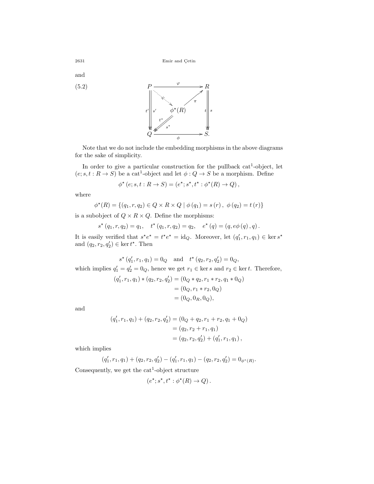and

<span id="page-15-0"></span>(5.2)  

$$
P \xrightarrow{\varphi} R
$$
  

$$
t' \xrightarrow{\varphi} t'
$$
  

$$
t' \xrightarrow{\varphi} s'
$$
  

$$
Q \xrightarrow{\varphi} S.
$$

Note that we do not include the embedding morphisms in the above diagrams for the sake of simplicity.

In order to give a particular construction for the pullback cat<sup>1</sup>-object, let  $(e; s, t : R \to S)$  be a cat<sup>1</sup>-object and let  $\phi : Q \to S$  be a morphism. Define

$$
\phi^{\star}(e; s, t: R \to S) = (e^{\star}; s^{\star}, t^{\star} : \phi^{\star}(R) \to Q),
$$

where

$$
\phi^*(R) = \{(q_1, r, q_2) \in Q \times R \times Q \mid \phi(q_1) = s(r), \phi(q_2) = t(r)\}\
$$

is a subobject of  $Q \times R \times Q$ . Define the morphisms:

$$
s^{\star}(q_1,r,q_2) = q_1, \quad t^{\star}(q_1,r,q_2) = q_2, \quad e^{\star}(q) = (q,e\phi(q),q).
$$

It is easily verified that  $s^*e^* = t^*e^* = \text{id}_Q$ . Moreover, let  $(q'_1, r_1, q_1) \in \text{ker } s^*$ and  $(q_2, r_2, q'_2) \in \ker t^*$ . Then

 $s^*$   $(q'_1, r_1, q_1) = 0_Q$  and  $t^*$   $(q_2, r_2, q'_2) = 0_Q$ , which implies  $q'_1 = q'_2 = 0_Q$ , hence we get  $r_1 \in \text{ker } s$  and  $r_2 \in \text{ker } t$ . Therefore,

$$
(q'_1, r_1, q_1) * (q_2, r_2, q'_2) = (0_Q * q_2, r_1 * r_2, q_1 * 0_Q)
$$
  
= (0<sub>Q</sub>, r<sub>1</sub> \* r<sub>2</sub>, 0<sub>Q</sub>)  
= (0<sub>Q</sub>, 0<sub>R</sub>, 0<sub>Q</sub>),

and

$$
(q'_1, r_1, q_1) + (q_2, r_2, q'_2) = (0_Q + q_2, r_1 + r_2, q_1 + 0_Q)
$$
  
=  $(q_2, r_2 + r_1, q_1)$   
=  $(q_2, r_2, q'_2) + (q'_1, r_1, q_1)$ ,

which implies

$$
(q'_1,r_1,q_1) + (q_2,r_2,q'_2) - (q'_1,r_1,q_1) - (q_2,r_2,q'_2) = 0_{\phi^*(R)}.
$$

Consequently, we get the  $cat^1$ -object structure

$$
(e^{\star};s^{\star},t^{\star}:\phi^{\star}(R)\to Q)\,.
$$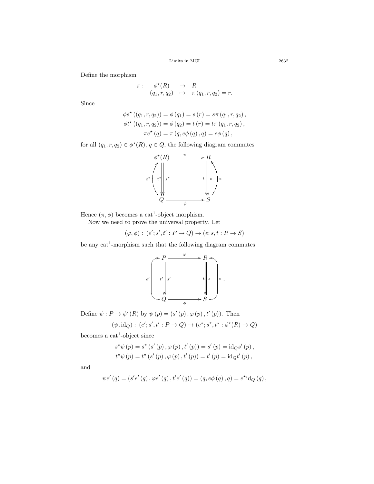$\begin{tabular}{c} Limits in MCI \end{tabular} \hspace{1in} 2632 \\$ 

Define the morphism

$$
\pi: \quad \phi^*(R) \quad \to \quad R
$$
  
\n
$$
(q_1, r, q_2) \quad \mapsto \quad \pi (q_1, r, q_2) = r.
$$

Since

$$
\phi s^* ((q_1, r, q_2)) = \phi (q_1) = s (r) = s\pi (q_1, r, q_2), \n\phi t^* ((q_1, r, q_2)) = \phi (q_2) = t (r) = t\pi (q_1, r, q_2), \n\pi e^* (q) = \pi (q, e\phi (q), q) = e\phi (q),
$$

for all  $(q_1, r, q_2) \in \phi^*(R)$ ,  $q \in Q$ , the following diagram commutes



Hence  $(\pi, \phi)$  becomes a cat<sup>1</sup>-object morphism.

Now we need to prove the universal property. Let

$$
(\varphi, \phi) : (e'; s', t' : P \to Q) \to (e; s, t : R \to S)
$$

be any  $cat^1$ -morphism such that the following diagram commutes



Define  $\psi : P \to \phi^*(R)$  by  $\psi(p) = (s'(p), \varphi(p), t'(p))$ . Then

$$
(\psi, \mathrm{id}_Q) : (e'; s', t' : P \to Q) \to (e^{\star}; s^{\star}, t^{\star} : \phi^{\star}(R) \to Q)
$$

becomes a cat<sup>1</sup>-object since

$$
s^{\star}\psi(p) = s^{\star}(s'(p), \varphi(p), t'(p)) = s'(p) = id_{Q}s'(p),
$$
  

$$
t^{\star}\psi(p) = t^{\star}(s'(p), \varphi(p), t'(p)) = t'(p) = id_{Q}t'(p),
$$

and

$$
\psi e' (q) = (s' e' (q), \varphi e' (q), t' e' (q)) = (q, e \phi (q), q) = e^* id_Q (q),
$$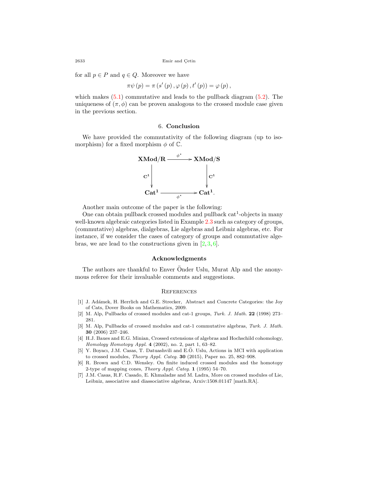for all  $p \in P$  and  $q \in Q$ . Moreover we have

$$
\pi \psi (p) = \pi (s' (p), \varphi (p), t' (p)) = \varphi (p),
$$

which makes  $(5.1)$  $(5.1)$  $(5.1)$  commutative and leads to the pullback diagram  $(5.2)$  $(5.2)$ . The uniqueness of  $(\pi, \phi)$  can be proven analogous to the crossed module case given in the previous section.

### 6. **Conclusion**

We have provided the commutativity of the following diagram (up to isomorphism) for a fixed morphism  $\phi$  of  $\mathbb{C}$ .



Another main outcome of the paper is the following:

One can obtain pullback crossed modules and pullback  $cat<sup>1</sup>$ -objects in many well-known algebraic categories listed in Example [2.3](#page-3-1) such as category of groups, (commutative) algebras, dialgebras, Lie algebras and Leibniz algebras, etc. For instance, if we consider the cases of category of groups and commutative algebras, we are lead to the constructions given in  $[2,3,6]$  $[2,3,6]$  $[2,3,6]$  $[2,3,6]$ .

## **Acknowledgments**

The authors are thankful to Enver Onder Uslu, Murat Alp and the anonymous referee for their invaluable comments and suggestions.

#### **REFERENCES**

- <span id="page-17-6"></span>[1] J. Adámek, H. Herrlich and G.E. Strecker, Abstract and Concrete Categories: the Joy of Cats, Dover Books on Mathematics, 2009.
- <span id="page-17-3"></span>[2] M. Alp, Pullbacks of crossed modules and cat-1 groups, *Turk. J. Math.* **22** (1998) 273– 281.
- <span id="page-17-4"></span>[3] M. Alp, Pullbacks of crossed modules and cat-1 commutative algebras, *Turk. J. Math.* **30** (2006) 237–246.
- <span id="page-17-1"></span>[4] H.J. Baues and E.G. Minian, Crossed extensions of algebras and Hochschild cohomology, *Homology Homotopy Appl.* **4** (2002), no. 2, part 1, 63–82.
- <span id="page-17-0"></span>[5] Y. Boyacı, J.M. Casas, T. Datuashvili and E.Ö. Uslu, Actions in MCI with application to crossed modules, *Theory Appl. Categ.* **30** (2015), Paper no. 25, 882–908.
- <span id="page-17-5"></span>[6] R. Brown and C.D. Wensley. On finite induced crossed modules and the homotopy 2-type of mapping cones, *Theory Appl. Categ.* **1** (1995) 54–70.
- <span id="page-17-2"></span>[7] J.M. Casas, R.F. Casado, E. Khmaladze and M. Ladra, More on crossed modules of Lie, Leibniz, associative and diassociative algebras, Arxiv:1508.01147 [math.RA].